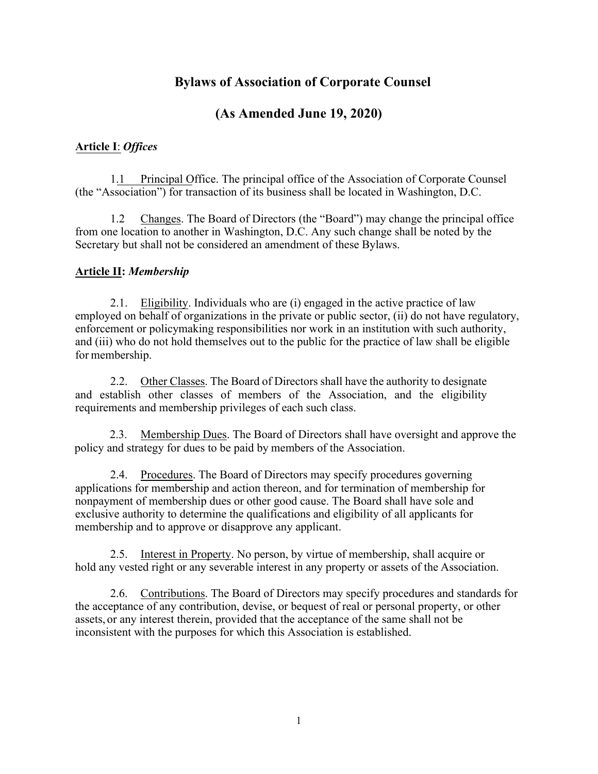# **Bylaws of Association of Corporate Counsel**

# **(As Amended June 19, 2020)**

## **Article I**: *Offices*

1.1 Principal Office. The principal office of the Association of Corporate Counsel (the "Association") for transaction of its business shall be located in Washington, D.C.

1.2 Changes. The Board of Directors (the "Board") may change the principal office from one location to another in Washington, D.C. Any such change shall be noted by the Secretary but shall not be considered an amendment of these Bylaws.

## **Article II:** *Membership*

2.1. Eligibility. Individuals who are (i) engaged in the active practice of law employed on behalf of organizations in the private or public sector, (ii) do not have regulatory, enforcement or policymaking responsibilities nor work in an institution with such authority, and (iii) who do not hold themselves out to the public for the practice of law shall be eligible for membership.

2.2. Other Classes. The Board of Directors shall have the authority to designate and establish other classes of members of the Association, and the eligibility requirements and membership privileges of each such class.

2.3. Membership Dues. The Board of Directors shall have oversight and approve the policy and strategy for dues to be paid by members of the Association.

2.4. Procedures. The Board of Directors may specify procedures governing applications for membership and action thereon, and for termination of membership for nonpayment of membership dues or other good cause. The Board shall have sole and exclusive authority to determine the qualifications and eligibility of all applicants for membership and to approve or disapprove any applicant.

2.5. Interest in Property. No person, by virtue of membership, shall acquire or hold any vested right or any severable interest in any property or assets of the Association.

2.6. Contributions. The Board of Directors may specify procedures and standards for the acceptance of any contribution, devise, or bequest of real or personal property, or other assets, or any interest therein, provided that the acceptance of the same shall not be inconsistent with the purposes for which this Association is established.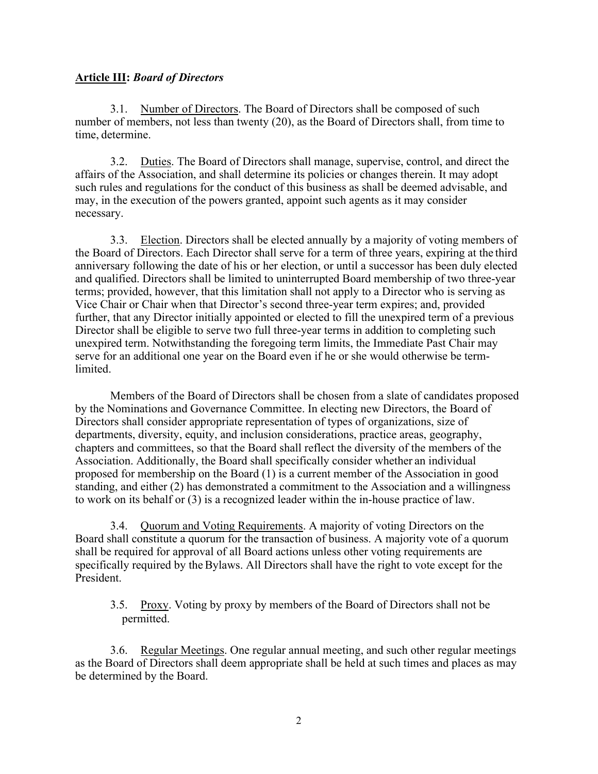### **Article III:** *Board of Directors*

3.1. Number of Directors. The Board of Directors shall be composed of such number of members, not less than twenty (20), as the Board of Directors shall, from time to time, determine.

3.2. Duties. The Board of Directors shall manage, supervise, control, and direct the affairs of the Association, and shall determine its policies or changes therein. It may adopt such rules and regulations for the conduct of this business as shall be deemed advisable, and may, in the execution of the powers granted, appoint such agents as it may consider necessary.

3.3. Election. Directors shall be elected annually by a majority of voting members of the Board of Directors. Each Director shall serve for a term of three years, expiring at the third anniversary following the date of his or her election, or until a successor has been duly elected and qualified. Directors shall be limited to uninterrupted Board membership of two three-year terms; provided, however, that this limitation shall not apply to a Director who is serving as Vice Chair or Chair when that Director's second three-year term expires; and, provided further, that any Director initially appointed or elected to fill the unexpired term of a previous Director shall be eligible to serve two full three-year terms in addition to completing such unexpired term. Notwithstanding the foregoing term limits, the Immediate Past Chair may serve for an additional one year on the Board even if he or she would otherwise be termlimited.

Members of the Board of Directors shall be chosen from a slate of candidates proposed by the Nominations and Governance Committee. In electing new Directors, the Board of Directors shall consider appropriate representation of types of organizations, size of departments, diversity, equity, and inclusion considerations, practice areas, geography, chapters and committees, so that the Board shall reflect the diversity of the members of the Association. Additionally, the Board shall specifically consider whether an individual proposed for membership on the Board (1) is a current member of the Association in good standing, and either (2) has demonstrated a commitment to the Association and a willingness to work on its behalf or (3) is a recognized leader within the in-house practice of law.

3.4. Quorum and Voting Requirements. A majority of voting Directors on the Board shall constitute a quorum for the transaction of business. A majority vote of a quorum shall be required for approval of all Board actions unless other voting requirements are specifically required by the Bylaws. All Directors shall have the right to vote except for the President.

3.5. Proxy. Voting by proxy by members of the Board of Directors shall not be permitted.

3.6. Regular Meetings. One regular annual meeting, and such other regular meetings as the Board of Directors shall deem appropriate shall be held at such times and places as may be determined by the Board.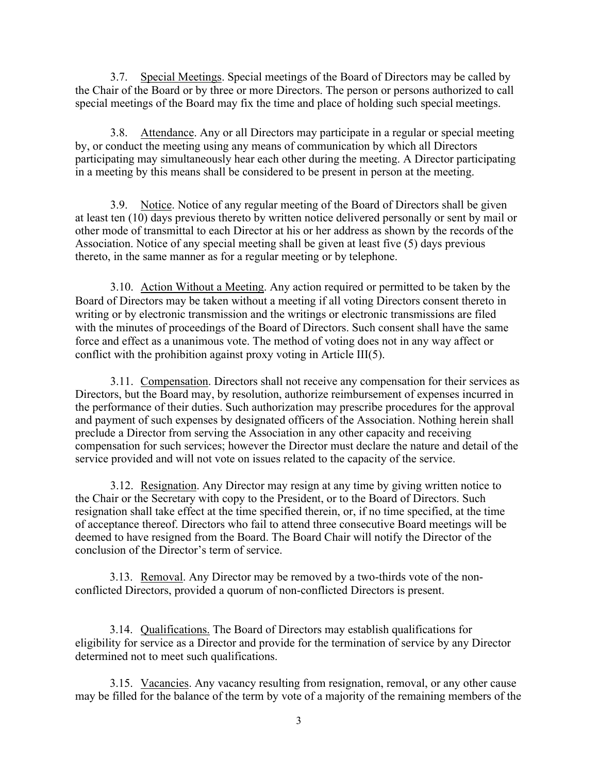3.7. Special Meetings. Special meetings of the Board of Directors may be called by the Chair of the Board or by three or more Directors. The person or persons authorized to call special meetings of the Board may fix the time and place of holding such special meetings.

3.8. Attendance. Any or all Directors may participate in a regular or special meeting by, or conduct the meeting using any means of communication by which all Directors participating may simultaneously hear each other during the meeting. A Director participating in a meeting by this means shall be considered to be present in person at the meeting.

3.9. Notice. Notice of any regular meeting of the Board of Directors shall be given at least ten (10) days previous thereto by written notice delivered personally or sent by mail or other mode of transmittal to each Director at his or her address as shown by the records of the Association. Notice of any special meeting shall be given at least five (5) days previous thereto, in the same manner as for a regular meeting or by telephone.

3.10. Action Without a Meeting. Any action required or permitted to be taken by the Board of Directors may be taken without a meeting if all voting Directors consent thereto in writing or by electronic transmission and the writings or electronic transmissions are filed with the minutes of proceedings of the Board of Directors. Such consent shall have the same force and effect as a unanimous vote. The method of voting does not in any way affect or conflict with the prohibition against proxy voting in Article III(5).

3.11. Compensation. Directors shall not receive any compensation for their services as Directors, but the Board may, by resolution, authorize reimbursement of expenses incurred in the performance of their duties. Such authorization may prescribe procedures for the approval and payment of such expenses by designated officers of the Association. Nothing herein shall preclude a Director from serving the Association in any other capacity and receiving compensation for such services; however the Director must declare the nature and detail of the service provided and will not vote on issues related to the capacity of the service.

3.12. Resignation. Any Director may resign at any time by giving written notice to the Chair or the Secretary with copy to the President, or to the Board of Directors. Such resignation shall take effect at the time specified therein, or, if no time specified, at the time of acceptance thereof. Directors who fail to attend three consecutive Board meetings will be deemed to have resigned from the Board. The Board Chair will notify the Director of the conclusion of the Director's term of service.

3.13. Removal. Any Director may be removed by a two-thirds vote of the nonconflicted Directors, provided a quorum of non-conflicted Directors is present.

3.14. Qualifications. The Board of Directors may establish qualifications for eligibility for service as a Director and provide for the termination of service by any Director determined not to meet such qualifications.

3.15. Vacancies. Any vacancy resulting from resignation, removal, or any other cause may be filled for the balance of the term by vote of a majority of the remaining members of the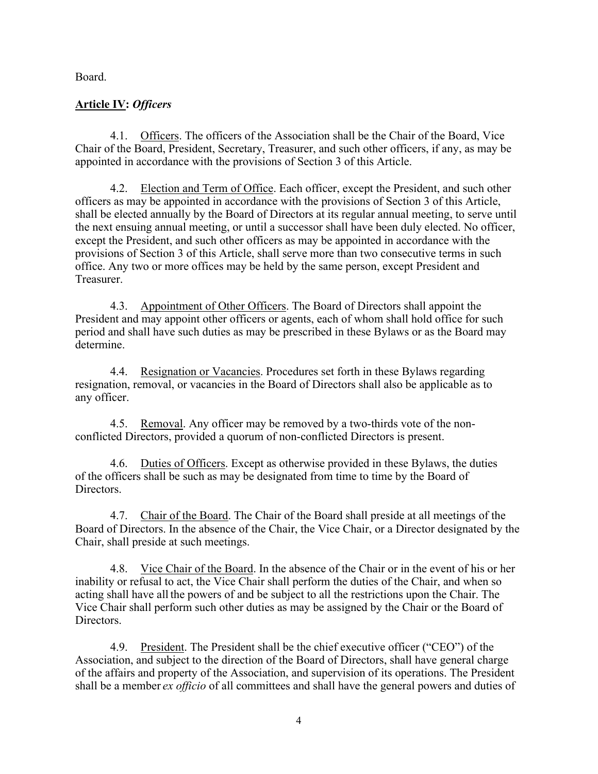Board.

# **Article IV:** *Officers*

4.1. Officers. The officers of the Association shall be the Chair of the Board, Vice Chair of the Board, President, Secretary, Treasurer, and such other officers, if any, as may be appointed in accordance with the provisions of Section 3 of this Article.

4.2. Election and Term of Office. Each officer, except the President, and such other officers as may be appointed in accordance with the provisions of Section 3 of this Article, shall be elected annually by the Board of Directors at its regular annual meeting, to serve until the next ensuing annual meeting, or until a successor shall have been duly elected. No officer, except the President, and such other officers as may be appointed in accordance with the provisions of Section 3 of this Article, shall serve more than two consecutive terms in such office. Any two or more offices may be held by the same person, except President and Treasurer.

4.3. Appointment of Other Officers. The Board of Directors shall appoint the President and may appoint other officers or agents, each of whom shall hold office for such period and shall have such duties as may be prescribed in these Bylaws or as the Board may determine.

4.4. Resignation or Vacancies. Procedures set forth in these Bylaws regarding resignation, removal, or vacancies in the Board of Directors shall also be applicable as to any officer.

4.5. Removal. Any officer may be removed by a two-thirds vote of the nonconflicted Directors, provided a quorum of non-conflicted Directors is present.

4.6. Duties of Officers. Except as otherwise provided in these Bylaws, the duties of the officers shall be such as may be designated from time to time by the Board of Directors.

4.7. Chair of the Board. The Chair of the Board shall preside at all meetings of the Board of Directors. In the absence of the Chair, the Vice Chair, or a Director designated by the Chair, shall preside at such meetings.

4.8. Vice Chair of the Board. In the absence of the Chair or in the event of his or her inability or refusal to act, the Vice Chair shall perform the duties of the Chair, and when so acting shall have all the powers of and be subject to all the restrictions upon the Chair. The Vice Chair shall perform such other duties as may be assigned by the Chair or the Board of Directors.

4.9. President. The President shall be the chief executive officer ("CEO") of the Association, and subject to the direction of the Board of Directors, shall have general charge of the affairs and property of the Association, and supervision of its operations. The President shall be a member *ex officio* of all committees and shall have the general powers and duties of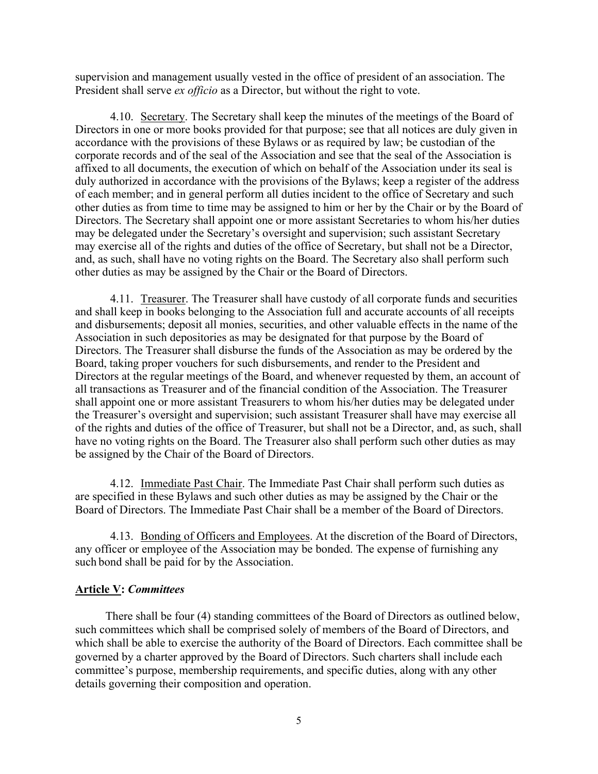supervision and management usually vested in the office of president of an association. The President shall serve *ex officio* as a Director, but without the right to vote.

4.10. Secretary. The Secretary shall keep the minutes of the meetings of the Board of Directors in one or more books provided for that purpose; see that all notices are duly given in accordance with the provisions of these Bylaws or as required by law; be custodian of the corporate records and of the seal of the Association and see that the seal of the Association is affixed to all documents, the execution of which on behalf of the Association under its seal is duly authorized in accordance with the provisions of the Bylaws; keep a register of the address of each member; and in general perform all duties incident to the office of Secretary and such other duties as from time to time may be assigned to him or her by the Chair or by the Board of Directors. The Secretary shall appoint one or more assistant Secretaries to whom his/her duties may be delegated under the Secretary's oversight and supervision; such assistant Secretary may exercise all of the rights and duties of the office of Secretary, but shall not be a Director, and, as such, shall have no voting rights on the Board. The Secretary also shall perform such other duties as may be assigned by the Chair or the Board of Directors.

4.11. Treasurer. The Treasurer shall have custody of all corporate funds and securities and shall keep in books belonging to the Association full and accurate accounts of all receipts and disbursements; deposit all monies, securities, and other valuable effects in the name of the Association in such depositories as may be designated for that purpose by the Board of Directors. The Treasurer shall disburse the funds of the Association as may be ordered by the Board, taking proper vouchers for such disbursements, and render to the President and Directors at the regular meetings of the Board, and whenever requested by them, an account of all transactions as Treasurer and of the financial condition of the Association. The Treasurer shall appoint one or more assistant Treasurers to whom his/her duties may be delegated under the Treasurer's oversight and supervision; such assistant Treasurer shall have may exercise all of the rights and duties of the office of Treasurer, but shall not be a Director, and, as such, shall have no voting rights on the Board. The Treasurer also shall perform such other duties as may be assigned by the Chair of the Board of Directors.

4.12. Immediate Past Chair. The Immediate Past Chair shall perform such duties as are specified in these Bylaws and such other duties as may be assigned by the Chair or the Board of Directors. The Immediate Past Chair shall be a member of the Board of Directors.

4.13. Bonding of Officers and Employees. At the discretion of the Board of Directors, any officer or employee of the Association may be bonded. The expense of furnishing any such bond shall be paid for by the Association.

#### **Article V:** *Committees*

There shall be four (4) standing committees of the Board of Directors as outlined below, such committees which shall be comprised solely of members of the Board of Directors, and which shall be able to exercise the authority of the Board of Directors. Each committee shall be governed by a charter approved by the Board of Directors. Such charters shall include each committee's purpose, membership requirements, and specific duties, along with any other details governing their composition and operation.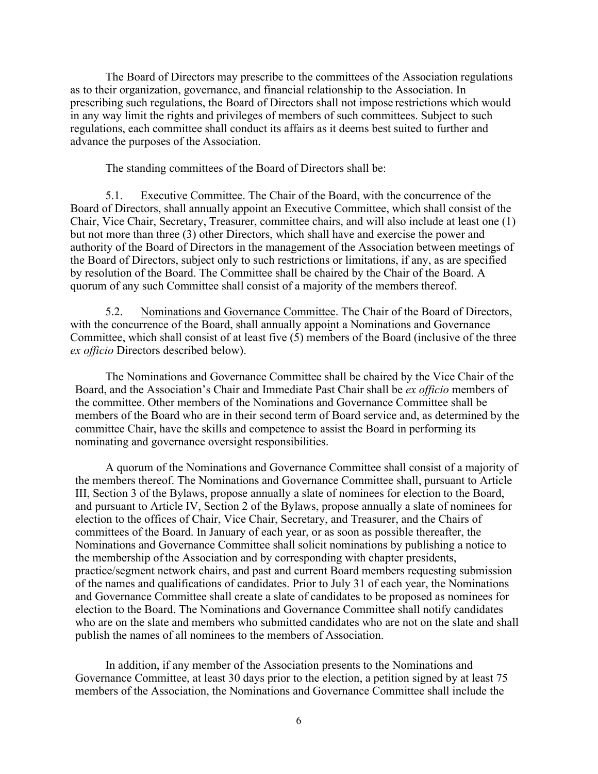The Board of Directors may prescribe to the committees of the Association regulations as to their organization, governance, and financial relationship to the Association. In prescribing such regulations, the Board of Directors shall not impose restrictions which would in any way limit the rights and privileges of members of such committees. Subject to such regulations, each committee shall conduct its affairs as it deems best suited to further and advance the purposes of the Association.

The standing committees of the Board of Directors shall be:

5.1. Executive Committee. The Chair of the Board, with the concurrence of the Board of Directors, shall annually appoint an Executive Committee, which shall consist of the Chair, Vice Chair, Secretary, Treasurer, committee chairs, and will also include at least one (1) but not more than three (3) other Directors, which shall have and exercise the power and authority of the Board of Directors in the management of the Association between meetings of the Board of Directors, subject only to such restrictions or limitations, if any, as are specified by resolution of the Board. The Committee shall be chaired by the Chair of the Board. A quorum of any such Committee shall consist of a majority of the members thereof.

5.2. Nominations and Governance Committee. The Chair of the Board of Directors, with the concurrence of the Board, shall annually appoint a Nominations and Governance Committee, which shall consist of at least five (5) members of the Board (inclusive of the three *ex officio* Directors described below).

The Nominations and Governance Committee shall be chaired by the Vice Chair of the Board, and the Association's Chair and Immediate Past Chair shall be *ex officio* members of the committee. Other members of the Nominations and Governance Committee shall be members of the Board who are in their second term of Board service and, as determined by the committee Chair, have the skills and competence to assist the Board in performing its nominating and governance oversight responsibilities.

A quorum of the Nominations and Governance Committee shall consist of a majority of the members thereof. The Nominations and Governance Committee shall, pursuant to Article III, Section 3 of the Bylaws, propose annually a slate of nominees for election to the Board, and pursuant to Article IV, Section 2 of the Bylaws, propose annually a slate of nominees for election to the offices of Chair, Vice Chair, Secretary, and Treasurer, and the Chairs of committees of the Board. In January of each year, or as soon as possible thereafter, the Nominations and Governance Committee shall solicit nominations by publishing a notice to the membership of the Association and by corresponding with chapter presidents, practice/segment network chairs, and past and current Board members requesting submission of the names and qualifications of candidates. Prior to July 31 of each year, the Nominations and Governance Committee shall create a slate of candidates to be proposed as nominees for election to the Board. The Nominations and Governance Committee shall notify candidates who are on the slate and members who submitted candidates who are not on the slate and shall publish the names of all nominees to the members of Association.

In addition, if any member of the Association presents to the Nominations and Governance Committee, at least 30 days prior to the election, a petition signed by at least 75 members of the Association, the Nominations and Governance Committee shall include the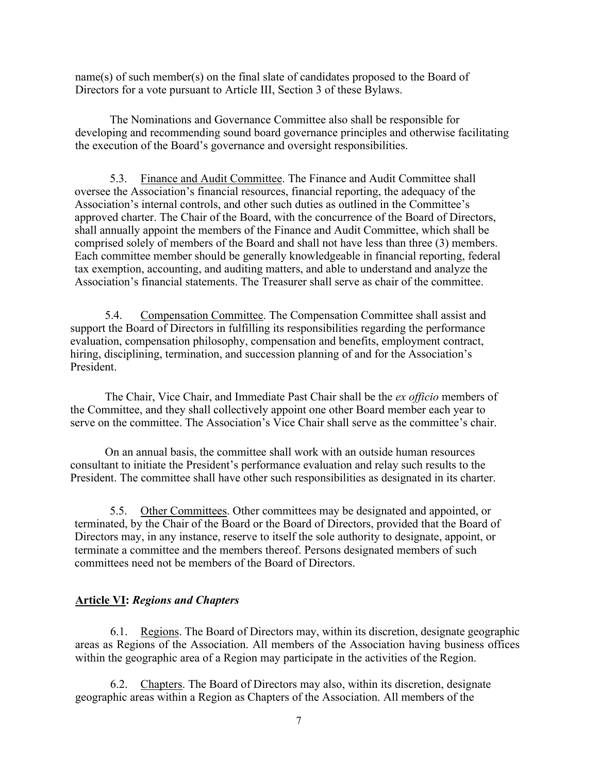name(s) of such member(s) on the final slate of candidates proposed to the Board of Directors for a vote pursuant to Article III, Section 3 of these Bylaws.

The Nominations and Governance Committee also shall be responsible for developing and recommending sound board governance principles and otherwise facilitating the execution of the Board's governance and oversight responsibilities.

5.3. Finance and Audit Committee. The Finance and Audit Committee shall oversee the Association's financial resources, financial reporting, the adequacy of the Association's internal controls, and other such duties as outlined in the Committee's approved charter. The Chair of the Board, with the concurrence of the Board of Directors, shall annually appoint the members of the Finance and Audit Committee, which shall be comprised solely of members of the Board and shall not have less than three (3) members. Each committee member should be generally knowledgeable in financial reporting, federal tax exemption, accounting, and auditing matters, and able to understand and analyze the Association's financial statements. The Treasurer shall serve as chair of the committee.

5.4. Compensation Committee. The Compensation Committee shall assist and support the Board of Directors in fulfilling its responsibilities regarding the performance evaluation, compensation philosophy, compensation and benefits, employment contract, hiring, disciplining, termination, and succession planning of and for the Association's President.

The Chair, Vice Chair, and Immediate Past Chair shall be the *ex officio* members of the Committee, and they shall collectively appoint one other Board member each year to serve on the committee. The Association's Vice Chair shall serve as the committee's chair.

On an annual basis, the committee shall work with an outside human resources consultant to initiate the President's performance evaluation and relay such results to the President. The committee shall have other such responsibilities as designated in its charter.

5.5. Other Committees. Other committees may be designated and appointed, or terminated, by the Chair of the Board or the Board of Directors, provided that the Board of Directors may, in any instance, reserve to itself the sole authority to designate, appoint, or terminate a committee and the members thereof. Persons designated members of such committees need not be members of the Board of Directors.

#### **Article VI:** *Regions and Chapters*

6.1. Regions. The Board of Directors may, within its discretion, designate geographic areas as Regions of the Association. All members of the Association having business offices within the geographic area of a Region may participate in the activities of the Region.

6.2. Chapters. The Board of Directors may also, within its discretion, designate geographic areas within a Region as Chapters of the Association. All members of the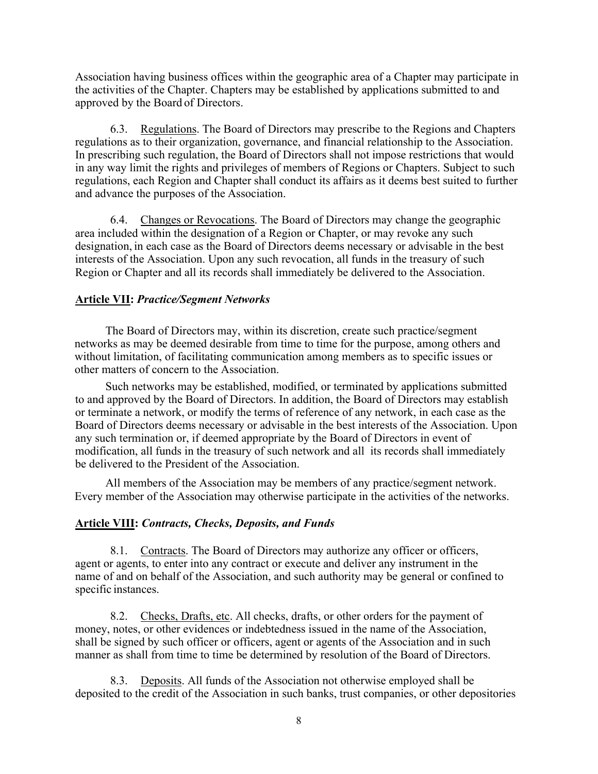Association having business offices within the geographic area of a Chapter may participate in the activities of the Chapter. Chapters may be established by applications submitted to and approved by the Board of Directors.

6.3. Regulations. The Board of Directors may prescribe to the Regions and Chapters regulations as to their organization, governance, and financial relationship to the Association. In prescribing such regulation, the Board of Directors shall not impose restrictions that would in any way limit the rights and privileges of members of Regions or Chapters. Subject to such regulations, each Region and Chapter shall conduct its affairs as it deems best suited to further and advance the purposes of the Association.

6.4. Changes or Revocations. The Board of Directors may change the geographic area included within the designation of a Region or Chapter, or may revoke any such designation, in each case as the Board of Directors deems necessary or advisable in the best interests of the Association. Upon any such revocation, all funds in the treasury of such Region or Chapter and all its records shall immediately be delivered to the Association.

#### **Article VII:** *Practice/Segment Networks*

The Board of Directors may, within its discretion, create such practice/segment networks as may be deemed desirable from time to time for the purpose, among others and without limitation, of facilitating communication among members as to specific issues or other matters of concern to the Association.

Such networks may be established, modified, or terminated by applications submitted to and approved by the Board of Directors. In addition, the Board of Directors may establish or terminate a network, or modify the terms of reference of any network, in each case as the Board of Directors deems necessary or advisable in the best interests of the Association. Upon any such termination or, if deemed appropriate by the Board of Directors in event of modification, all funds in the treasury of such network and all its records shall immediately be delivered to the President of the Association.

All members of the Association may be members of any practice/segment network. Every member of the Association may otherwise participate in the activities of the networks.

#### **Article VIII:** *Contracts, Checks, Deposits, and Funds*

8.1. Contracts. The Board of Directors may authorize any officer or officers, agent or agents, to enter into any contract or execute and deliver any instrument in the name of and on behalf of the Association, and such authority may be general or confined to specific instances.

8.2. Checks, Drafts, etc. All checks, drafts, or other orders for the payment of money, notes, or other evidences or indebtedness issued in the name of the Association, shall be signed by such officer or officers, agent or agents of the Association and in such manner as shall from time to time be determined by resolution of the Board of Directors.

8.3. Deposits. All funds of the Association not otherwise employed shall be deposited to the credit of the Association in such banks, trust companies, or other depositories